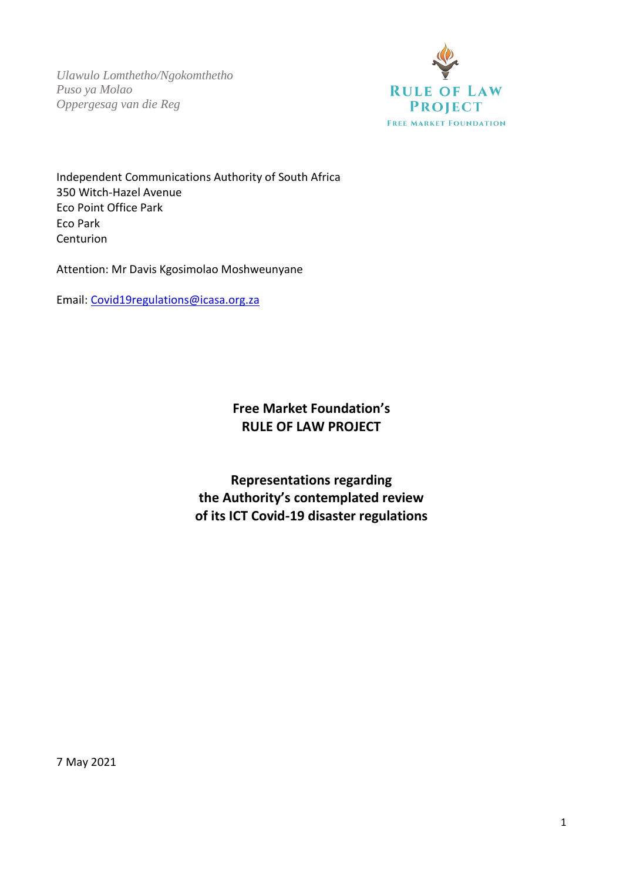*Ulawulo Lomthetho/Ngokomthetho Puso ya Molao Oppergesag van die Reg*



Independent Communications Authority of South Africa 350 Witch-Hazel Avenue Eco Point Office Park Eco Park Centurion

Attention: Mr Davis Kgosimolao Moshweunyane

Email: [Covid19regulations@icasa.org.za](mailto:Covid19regulations@icasa.org.za)

**Free Market Foundation's RULE OF LAW PROJECT**

**Representations regarding the Authority's contemplated review of its ICT Covid-19 disaster regulations**

7 May 2021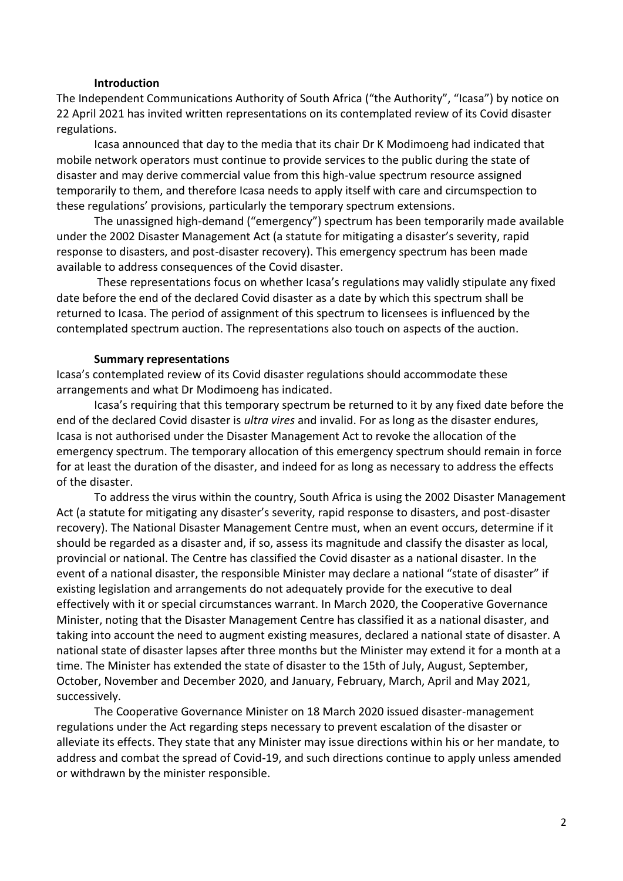#### **Introduction**

The Independent Communications Authority of South Africa ("the Authority", "Icasa") by notice on 22 April 2021 has invited written representations on its contemplated review of its Covid disaster regulations.

Icasa announced that day to the media that its chair Dr K Modimoeng had indicated that mobile network operators must continue to provide services to the public during the state of disaster and may derive commercial value from this high-value spectrum resource assigned temporarily to them, and therefore Icasa needs to apply itself with care and circumspection to these regulations' provisions, particularly the temporary spectrum extensions.

The unassigned high-demand ("emergency") spectrum has been temporarily made available under the 2002 Disaster Management Act (a statute for mitigating a disaster's severity, rapid response to disasters, and post-disaster recovery). This emergency spectrum has been made available to address consequences of the Covid disaster.

These representations focus on whether Icasa's regulations may validly stipulate any fixed date before the end of the declared Covid disaster as a date by which this spectrum shall be returned to Icasa. The period of assignment of this spectrum to licensees is influenced by the contemplated spectrum auction. The representations also touch on aspects of the auction.

#### **Summary representations**

Icasa's contemplated review of its Covid disaster regulations should accommodate these arrangements and what Dr Modimoeng has indicated.

Icasa's requiring that this temporary spectrum be returned to it by any fixed date before the end of the declared Covid disaster is *ultra vires* and invalid. For as long as the disaster endures, Icasa is not authorised under the Disaster Management Act to revoke the allocation of the emergency spectrum. The temporary allocation of this emergency spectrum should remain in force for at least the duration of the disaster, and indeed for as long as necessary to address the effects of the disaster.

To address the virus within the country, South Africa is using the 2002 Disaster Management Act (a statute for mitigating any disaster's severity, rapid response to disasters, and post-disaster recovery). The National Disaster Management Centre must, when an event occurs, determine if it should be regarded as a disaster and, if so, assess its magnitude and classify the disaster as local, provincial or national. The Centre has classified the Covid disaster as a national disaster. In the event of a national disaster, the responsible Minister may declare a national "state of disaster" if existing legislation and arrangements do not adequately provide for the executive to deal effectively with it or special circumstances warrant. In March 2020, the Cooperative Governance Minister, noting that the Disaster Management Centre has classified it as a national disaster, and taking into account the need to augment existing measures, declared a national state of disaster. A national state of disaster lapses after three months but the Minister may extend it for a month at a time. The Minister has extended the state of disaster to the 15th of July, August, September, October, November and December 2020, and January, February, March, April and May 2021, successively.

The Cooperative Governance Minister on 18 March 2020 issued disaster-management regulations under the Act regarding steps necessary to prevent escalation of the disaster or alleviate its effects. They state that any Minister may issue directions within his or her mandate, to address and combat the spread of Covid-19, and such directions continue to apply unless amended or withdrawn by the minister responsible.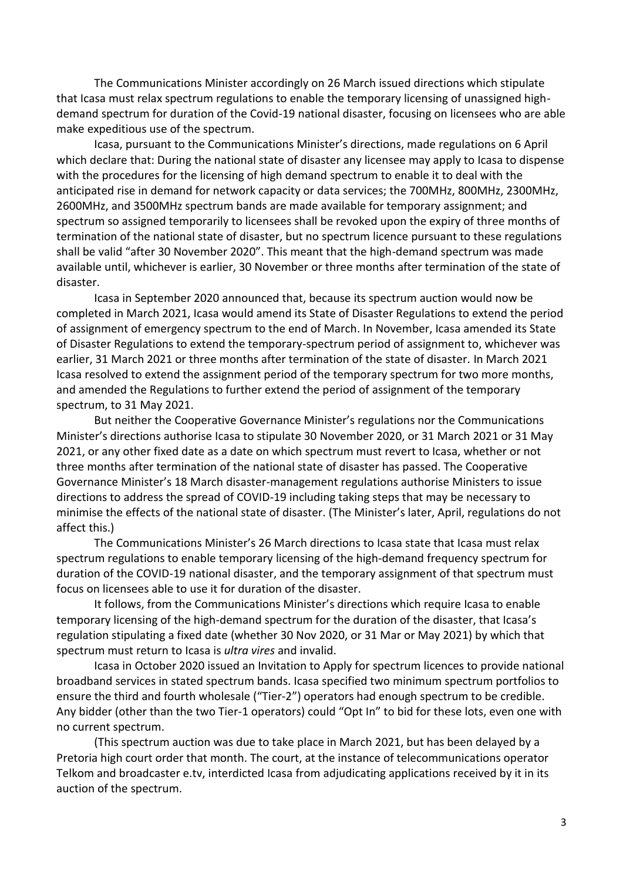The Communications Minister accordingly on 26 March issued directions which stipulate that Icasa must relax spectrum regulations to enable the temporary licensing of unassigned highdemand spectrum for duration of the Covid-19 national disaster, focusing on licensees who are able make expeditious use of the spectrum.

Icasa, pursuant to the Communications Minister's directions, made regulations on 6 April which declare that: During the national state of disaster any licensee may apply to Icasa to dispense with the procedures for the licensing of high demand spectrum to enable it to deal with the anticipated rise in demand for network capacity or data services; the 700MHz, 800MHz, 2300MHz, 2600MHz, and 3500MHz spectrum bands are made available for temporary assignment; and spectrum so assigned temporarily to licensees shall be revoked upon the expiry of three months of termination of the national state of disaster, but no spectrum licence pursuant to these regulations shall be valid "after 30 November 2020". This meant that the high-demand spectrum was made available until, whichever is earlier, 30 November or three months after termination of the state of disaster.

Icasa in September 2020 announced that, because its spectrum auction would now be completed in March 2021, Icasa would amend its State of Disaster Regulations to extend the period of assignment of emergency spectrum to the end of March. In November, Icasa amended its State of Disaster Regulations to extend the temporary-spectrum period of assignment to, whichever was earlier, 31 March 2021 or three months after termination of the state of disaster. In March 2021 Icasa resolved to extend the assignment period of the temporary spectrum for two more months, and amended the Regulations to further extend the period of assignment of the temporary spectrum, to 31 May 2021.

But neither the Cooperative Governance Minister's regulations nor the Communications Minister's directions authorise Icasa to stipulate 30 November 2020, or 31 March 2021 or 31 May 2021, or any other fixed date as a date on which spectrum must revert to Icasa, whether or not three months after termination of the national state of disaster has passed. The Cooperative Governance Minister's 18 March disaster-management regulations authorise Ministers to issue directions to address the spread of COVID-19 including taking steps that may be necessary to minimise the effects of the national state of disaster. (The Minister's later, April, regulations do not affect this.)

The Communications Minister's 26 March directions to Icasa state that Icasa must relax spectrum regulations to enable temporary licensing of the high-demand frequency spectrum for duration of the COVID-19 national disaster, and the temporary assignment of that spectrum must focus on licensees able to use it for duration of the disaster.

It follows, from the Communications Minister's directions which require Icasa to enable temporary licensing of the high-demand spectrum for the duration of the disaster, that Icasa's regulation stipulating a fixed date (whether 30 Nov 2020, or 31 Mar or May 2021) by which that spectrum must return to Icasa is *ultra vires* and invalid.

Icasa in October 2020 issued an Invitation to Apply for spectrum licences to provide national broadband services in stated spectrum bands. Icasa specified two minimum spectrum portfolios to ensure the third and fourth wholesale ("Tier-2") operators had enough spectrum to be credible. Any bidder (other than the two Tier-1 operators) could "Opt In" to bid for these lots, even one with no current spectrum.

(This spectrum auction was due to take place in March 2021, but has been delayed by a Pretoria high court order that month. The court, at the instance of telecommunications operator Telkom and broadcaster e.tv, interdicted Icasa from adjudicating applications received by it in its auction of the spectrum.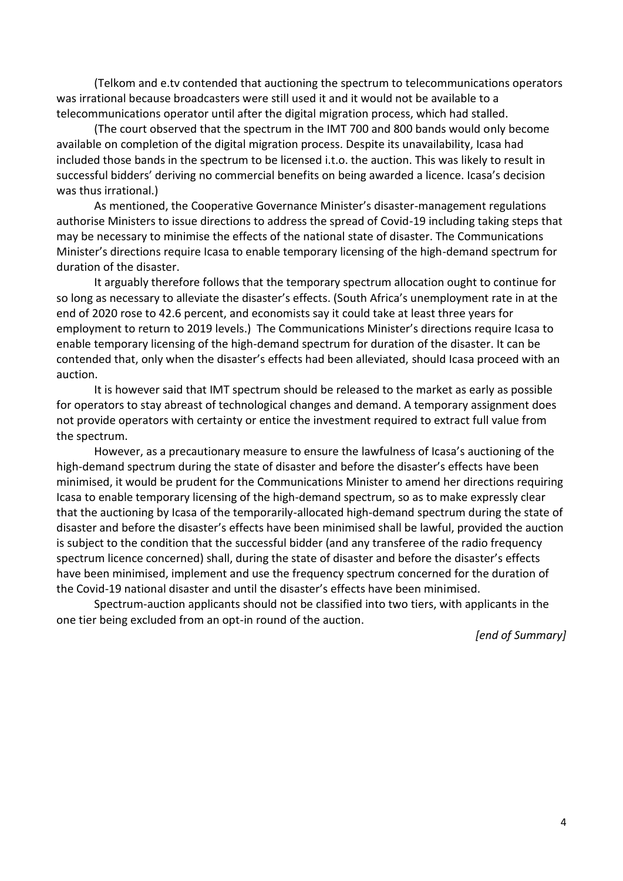(Telkom and e.tv contended that auctioning the spectrum to telecommunications operators was irrational because broadcasters were still used it and it would not be available to a telecommunications operator until after the digital migration process, which had stalled.

(The court observed that the spectrum in the IMT 700 and 800 bands would only become available on completion of the digital migration process. Despite its unavailability, Icasa had included those bands in the spectrum to be licensed i.t.o. the auction. This was likely to result in successful bidders' deriving no commercial benefits on being awarded a licence. Icasa's decision was thus irrational.)

As mentioned, the Cooperative Governance Minister's disaster-management regulations authorise Ministers to issue directions to address the spread of Covid-19 including taking steps that may be necessary to minimise the effects of the national state of disaster. The Communications Minister's directions require Icasa to enable temporary licensing of the high-demand spectrum for duration of the disaster.

It arguably therefore follows that the temporary spectrum allocation ought to continue for so long as necessary to alleviate the disaster's effects. (South Africa's unemployment rate in at the end of 2020 rose to 42.6 percent, and economists say it could take at least three years for employment to return to 2019 levels.) The Communications Minister's directions require Icasa to enable temporary licensing of the high-demand spectrum for duration of the disaster. It can be contended that, only when the disaster's effects had been alleviated, should Icasa proceed with an auction.

It is however said that IMT spectrum should be released to the market as early as possible for operators to stay abreast of technological changes and demand. A temporary assignment does not provide operators with certainty or entice the investment required to extract full value from the spectrum.

However, as a precautionary measure to ensure the lawfulness of Icasa's auctioning of the high-demand spectrum during the state of disaster and before the disaster's effects have been minimised, it would be prudent for the Communications Minister to amend her directions requiring Icasa to enable temporary licensing of the high-demand spectrum, so as to make expressly clear that the auctioning by Icasa of the temporarily-allocated high-demand spectrum during the state of disaster and before the disaster's effects have been minimised shall be lawful, provided the auction is subject to the condition that the successful bidder (and any transferee of the radio frequency spectrum licence concerned) shall, during the state of disaster and before the disaster's effects have been minimised, implement and use the frequency spectrum concerned for the duration of the Covid-19 national disaster and until the disaster's effects have been minimised.

Spectrum-auction applicants should not be classified into two tiers, with applicants in the one tier being excluded from an opt-in round of the auction.

*[end of Summary]*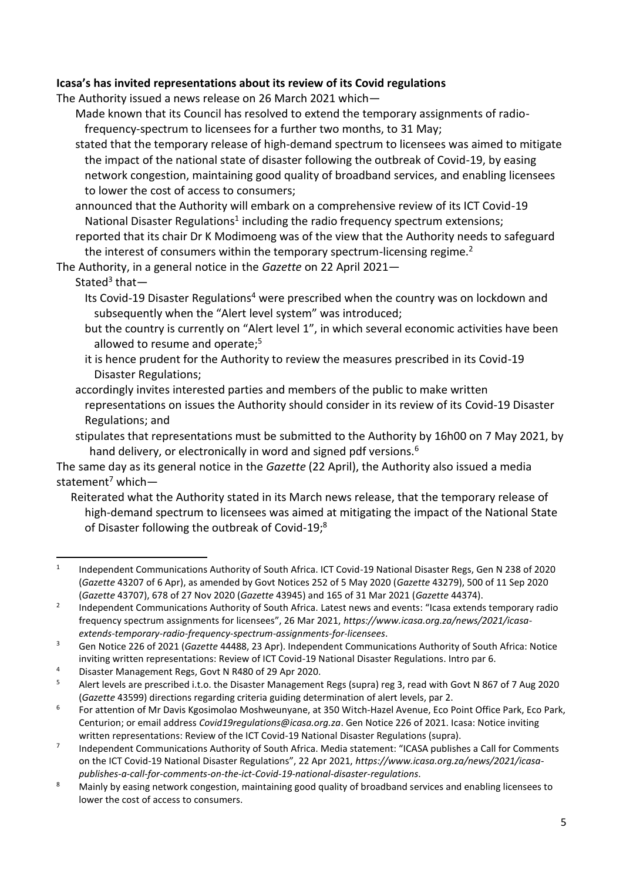# **Icasa's has invited representations about its review of its Covid regulations**

The Authority issued a news release on 26 March 2021 which—

Made known that its Council has resolved to extend the temporary assignments of radiofrequency-spectrum to licensees for a further two months, to 31 May;

- stated that the temporary release of high-demand spectrum to licensees was aimed to mitigate the impact of the national state of disaster following the outbreak of Covid-19, by easing network congestion, maintaining good quality of broadband services, and enabling licensees to lower the cost of access to consumers;
- announced that the Authority will embark on a comprehensive review of its ICT Covid-19 National Disaster Regulations<sup>1</sup> including the radio frequency spectrum extensions;
- reported that its chair Dr K Modimoeng was of the view that the Authority needs to safeguard the interest of consumers within the temporary spectrum-licensing regime.<sup>2</sup>

The Authority, in a general notice in the *Gazette* on 22 April 2021—

# Stated<sup>3</sup> that-

- Its Covid-19 Disaster Regulations<sup>4</sup> were prescribed when the country was on lockdown and subsequently when the "Alert level system" was introduced;
- but the country is currently on "Alert level 1", in which several economic activities have been allowed to resume and operate:<sup>5</sup>
- it is hence prudent for the Authority to review the measures prescribed in its Covid-19 Disaster Regulations;
- accordingly invites interested parties and members of the public to make written representations on issues the Authority should consider in its review of its Covid-19 Disaster Regulations; and
- stipulates that representations must be submitted to the Authority by 16h00 on 7 May 2021, by hand delivery, or electronically in word and signed pdf versions.<sup>6</sup>

The same day as its general notice in the *Gazette* (22 April), the Authority also issued a media statement<sup>7</sup> which—

Reiterated what the Authority stated in its March news release, that the temporary release of high-demand spectrum to licensees was aimed at mitigating the impact of the National State of Disaster following the outbreak of Covid-19;<sup>8</sup>

4 Disaster Management Regs, Govt N R480 of 29 Apr 2020.

<sup>1</sup> Independent Communications Authority of South Africa. ICT Covid-19 National Disaster Regs, Gen N 238 of 2020 (*Gazette* 43207 of 6 Apr), as amended by Govt Notices 252 of 5 May 2020 (*Gazette* 43279), 500 of 11 Sep 2020 (*Gazette* 43707), 678 of 27 Nov 2020 (*Gazette* 43945) and 165 of 31 Mar 2021 (*Gazette* 44374).

<sup>2</sup> Independent Communications Authority of South Africa. Latest news and events: "Icasa extends temporary radio frequency spectrum assignments for licensees", 26 Mar 2021, *https://www.icasa.org.za/news/2021/icasaextends-temporary-radio-frequency-spectrum-assignments-for-licensees*.

<sup>3</sup> Gen Notice 226 of 2021 (*Gazette* 44488, 23 Apr). Independent Communications Authority of South Africa: Notice inviting written representations: Review of ICT Covid-19 National Disaster Regulations. Intro par 6.

<sup>5</sup> Alert levels are prescribed i.t.o. the Disaster Management Regs (supra) reg 3, read with Govt N 867 of 7 Aug 2020 (*Gazette* 43599) directions regarding criteria guiding determination of alert levels, par 2.

<sup>6</sup> For attention of Mr Davis Kgosimolao Moshweunyane, at 350 Witch-Hazel Avenue, Eco Point Office Park, Eco Park, Centurion; or email address *Covid19regulations@icasa.org.za*. Gen Notice 226 of 2021. Icasa: Notice inviting written representations: Review of the ICT Covid-19 National Disaster Regulations (supra).

<sup>7</sup> Independent Communications Authority of South Africa. Media statement: "ICASA publishes a Call for Comments on the ICT Covid-19 National Disaster Regulations", 22 Apr 2021, *https://www.icasa.org.za/news/2021/icasapublishes-a-call-for-comments-on-the-ict-Covid-19-national-disaster-regulations*.

<sup>8</sup> Mainly by easing network congestion, maintaining good quality of broadband services and enabling licensees to lower the cost of access to consumers.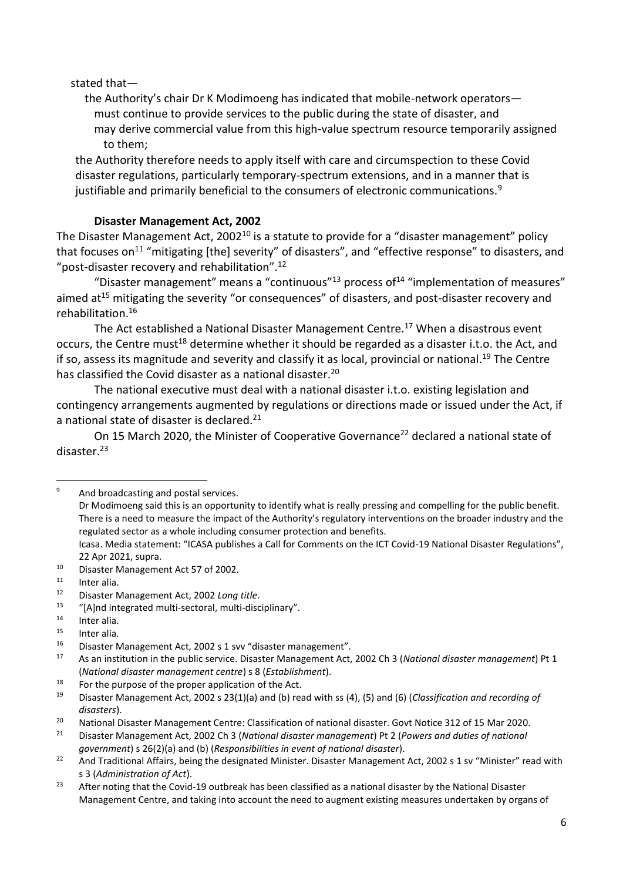stated that—

the Authority's chair Dr K Modimoeng has indicated that mobile-network operators must continue to provide services to the public during the state of disaster, and may derive commercial value from this high-value spectrum resource temporarily assigned to them;

the Authority therefore needs to apply itself with care and circumspection to these Covid disaster regulations, particularly temporary-spectrum extensions, and in a manner that is justifiable and primarily beneficial to the consumers of electronic communications. $9$ 

## **Disaster Management Act, 2002**

The Disaster Management Act, 2002<sup>10</sup> is a statute to provide for a "disaster management" policy that focuses on<sup>11</sup> "mitigating [the] severity" of disasters", and "effective response" to disasters, and "post-disaster recovery and rehabilitation".<sup>12</sup>

"Disaster management" means a "continuous"<sup>13</sup> process of<sup>14</sup> "implementation of measures" aimed at<sup>15</sup> mitigating the severity "or consequences" of disasters, and post-disaster recovery and rehabilitation.<sup>16</sup>

The Act established a National Disaster Management Centre.<sup>17</sup> When a disastrous event occurs, the Centre must<sup>18</sup> determine whether it should be regarded as a disaster i.t.o. the Act, and if so, assess its magnitude and severity and classify it as local, provincial or national.<sup>19</sup> The Centre has classified the Covid disaster as a national disaster.<sup>20</sup>

The national executive must deal with a national disaster i.t.o. existing legislation and contingency arrangements augmented by regulations or directions made or issued under the Act, if a national state of disaster is declared.<sup>21</sup>

On 15 March 2020, the Minister of Cooperative Governance<sup>22</sup> declared a national state of disaster.<sup>23</sup>

<sup>9</sup> And broadcasting and postal services.

Dr Modimoeng said this is an opportunity to identify what is really pressing and compelling for the public benefit. There is a need to measure the impact of the Authority's regulatory interventions on the broader industry and the regulated sector as a whole including consumer protection and benefits.

Icasa. Media statement: "ICASA publishes a Call for Comments on the ICT Covid-19 National Disaster Regulations", 22 Apr 2021, supra.

<sup>10</sup> Disaster Management Act 57 of 2002.

 $11$  Inter alia.

<sup>12</sup> Disaster Management Act, 2002 *Long title*.

<sup>&</sup>quot;[A]nd integrated multi-sectoral, multi-disciplinary".

<sup>14</sup> Inter alia.

 $15$  Inter alia.<br> $16$  Disastor N

<sup>16</sup> Disaster Management Act, 2002 s 1 svv "disaster management".

<sup>17</sup> As an institution in the public service. Disaster Management Act, 2002 Ch 3 (*National disaster management*) Pt 1 (*National disaster management centre*) s 8 (*Establishment*).

<sup>&</sup>lt;sup>18</sup> For the purpose of the proper application of the Act.<br><sup>19</sup> Disaster Management Act, 2003 a 22(1)(a) and (b) res

<sup>19</sup> Disaster Management Act, 2002 s 23(1)(a) and (b) read with ss (4), (5) and (6) (*Classification and recording of disasters*).

<sup>&</sup>lt;sup>20</sup> National Disaster Management Centre: Classification of national disaster. Govt Notice 312 of 15 Mar 2020.<br>Pisaster Management Act, 2003 Ch. 3 (National disaster management) Pt. 3 (Rouger and duties of national

<sup>21</sup> Disaster Management Act, 2002 Ch 3 (*National disaster management*) Pt 2 (*Powers and duties of national government*) s 26(2)(a) and (b) (*Responsibilities in event of national disaster*).

<sup>&</sup>lt;sup>22</sup> And Traditional Affairs, being the designated Minister. Disaster Management Act, 2002 s 1 sv "Minister" read with s 3 (*Administration of Act*).

<sup>&</sup>lt;sup>23</sup> After noting that the Covid-19 outbreak has been classified as a national disaster by the National Disaster Management Centre, and taking into account the need to augment existing measures undertaken by organs of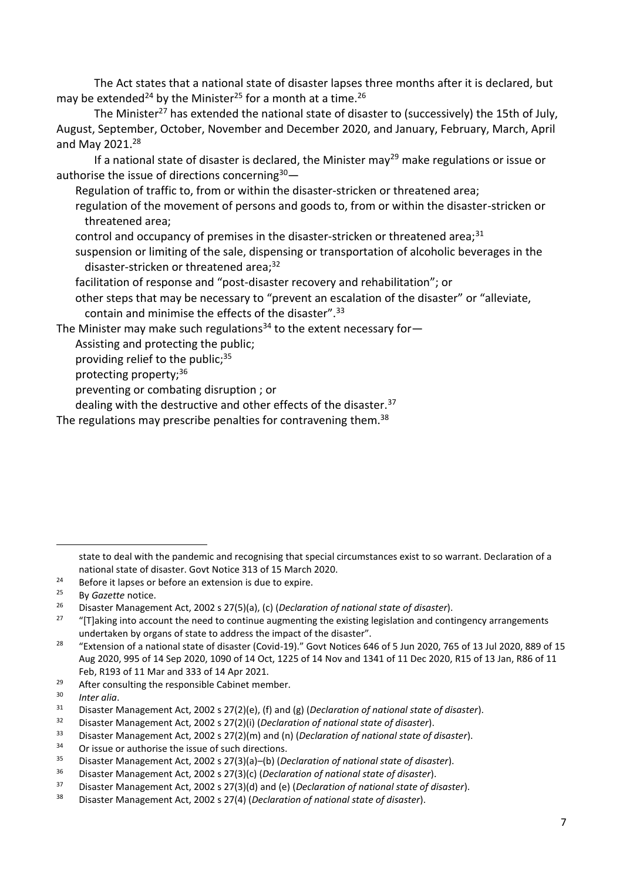The Act states that a national state of disaster lapses three months after it is declared, but may be extended<sup>24</sup> by the Minister<sup>25</sup> for a month at a time.<sup>26</sup>

The Minister<sup>27</sup> has extended the national state of disaster to (successively) the 15th of July. August, September, October, November and December 2020, and January, February, March, April and May 2021.<sup>28</sup>

If a national state of disaster is declared, the Minister may<sup>29</sup> make regulations or issue or authorise the issue of directions concerning $30-$ 

Regulation of traffic to, from or within the disasterstricken or threatened area;

regulation of the movement of persons and goods to, from or within the disaster-stricken or threatened area;

control and occupancy of premises in the disaster-stricken or threatened area; $31$ 

suspension or limiting of the sale, dispensing or transportation of alcoholic beverages in the disaster-stricken or threatened area; $32$ 

facilitation of response and "post-disaster recovery and rehabilitation"; or

other steps that may be necessary to "prevent an escalation of the disaster" or "alleviate, contain and minimise the effects of the disaster".<sup>33</sup>

The Minister may make such regulations<sup>34</sup> to the extent necessary for-

Assisting and protecting the public;

providing relief to the public; $35$ 

protecting property;<sup>36</sup>

preventing or combating disruption ; or

dealing with the destructive and other effects of the disaster.<sup>37</sup>

The regulations may prescribe penalties for contravening them.<sup>38</sup>

state to deal with the pandemic and recognising that special circumstances exist to so warrant. Declaration of a national state of disaster. Govt Notice 313 of 15 March 2020.

<sup>&</sup>lt;sup>24</sup> Before it lapses or before an extension is due to expire.<br><sup>25</sup> By Gazette potice

<sup>&</sup>lt;sup>25</sup> By *Gazette* notice.

<sup>26</sup> Disaster Management Act, 2002 s 27(5)(a), (c) (*Declaration of national state of disaster*).

<sup>&</sup>lt;sup>27</sup> "[T]aking into account the need to continue augmenting the existing legislation and contingency arrangements undertaken by organs of state to address the impact of the disaster".

<sup>&</sup>lt;sup>28</sup> "Extension of a national state of disaster (Covid-19)." Govt Notices 646 of 5 Jun 2020, 765 of 13 Jul 2020, 889 of 15 Aug 2020, 995 of 14 Sep 2020, 1090 of 14 Oct, 1225 of 14 Nov and 1341 of 11 Dec 2020, R15 of 13 Jan, R86 of 11 Feb, R193 of 11 Mar and 333 of 14 Apr 2021.

<sup>&</sup>lt;sup>29</sup> After consulting the responsible Cabinet member.<br> $\frac{30}{2}$  the stis

<sup>30</sup> *Inter alia*.

<sup>31</sup> Disaster Management Act, 2002 s 27(2)(e), (f) and (g) (*Declaration of national state of disaster*).

<sup>32</sup> Disaster Management Act, 2002 s 27(2)(i) (*Declaration of national state of disaster*).

<sup>33</sup> Disaster Management Act, 2002 s 27(2)(m) and (n) (*Declaration of national state of disaster*).

<sup>&</sup>lt;sup>34</sup> Or issue or authorise the issue of such directions.<br> $^{35}$  Director Mencesness Act, 2002.3.27(2)(2), (b) (D)

<sup>35</sup> Disaster Management Act, 2002 s 27(3)(a)–(b) (*Declaration of national state of disaster*).

<sup>36</sup> Disaster Management Act, 2002 s 27(3)(c) (*Declaration of national state of disaster*).

<sup>37</sup> Disaster Management Act, 2002 s 27(3)(d) and (e) (*Declaration of national state of disaster*).

<sup>38</sup> Disaster Management Act, 2002 s 27(4) (*Declaration of national state of disaster*).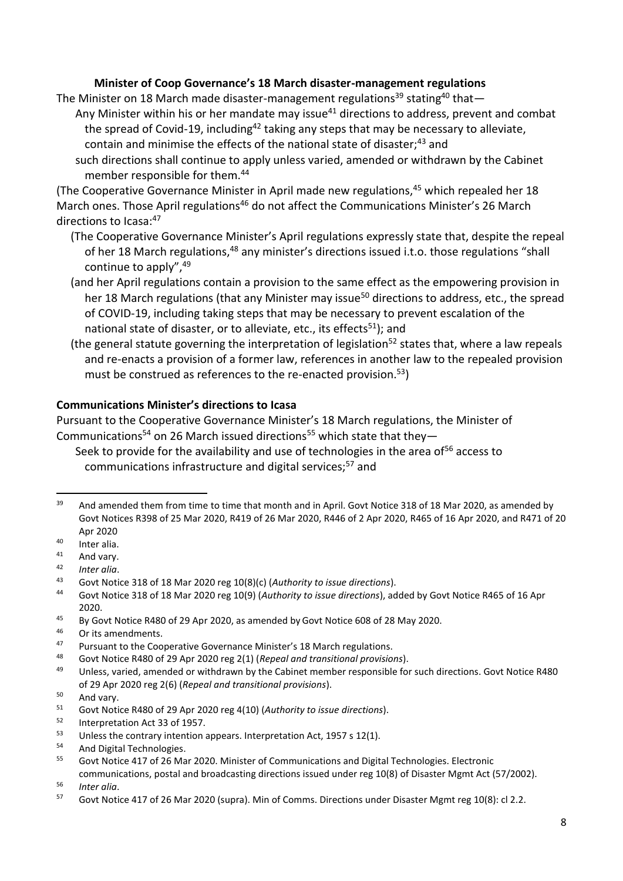### **Minister of Coop Governance's 18 March disaster-management regulations**

The Minister on 18 March made disaster-management regulations<sup>39</sup> stating<sup>40</sup> that-

Any Minister within his or her mandate may issue<sup>41</sup> directions to address, prevent and combat the spread of Covid-19, including<sup>42</sup> taking any steps that may be necessary to alleviate, contain and minimise the effects of the national state of disaster:<sup>43</sup> and

such directions shall continue to apply unless varied, amended or withdrawn by the Cabinet member responsible for them.<sup>44</sup>

(The Cooperative Governance Minister in April made new regulations,<sup>45</sup> which repealed her 18 March ones. Those April regulations<sup>46</sup> do not affect the Communications Minister's 26 March directions to Icasa: 47

- (The Cooperative Governance Minister's April regulations expressly state that, despite the repeal of her 18 March regulations,<sup>48</sup> any minister's directions issued i.t.o. those regulations "shall continue to apply",<sup>49</sup>
- (and her April regulations contain a provision to the same effect as the empowering provision in her 18 March regulations (that any Minister may issue<sup>50</sup> directions to address, etc., the spread of COVID-19, including taking steps that may be necessary to prevent escalation of the national state of disaster, or to alleviate, etc., its effects<sup>51</sup>); and
- (the general statute governing the interpretation of legislation <sup>52</sup> states that, where a law repeals and re-enacts a provision of a former law, references in another law to the repealed provision must be construed as references to the re-enacted provision.<sup>53</sup>)

#### **Communications Minister's directions to Icasa**

Pursuant to the Cooperative Governance Minister's 18 March regulations, the Minister of Communications<sup>54</sup> on 26 March issued directions<sup>55</sup> which state that they-

Seek to provide for the availability and use of technologies in the area of<sup>56</sup> access to communications infrastructure and digital services;<sup>57</sup> and

<sup>42</sup> *Inter alia*.

<sup>&</sup>lt;sup>39</sup> And amended them from time to time that month and in April. Govt Notice 318 of 18 Mar 2020, as amended by Govt Notices R398 of 25 Mar 2020, R419 of 26 Mar 2020, R446 of 2 Apr 2020, R465 of 16 Apr 2020, and R471 of 20 Apr 2020

 $^{40}$  Inter alia.

 $41$  And vary.

<sup>43</sup> Govt Notice 318 of 18 Mar 2020 reg 10(8)(c) (*Authority to issue directions*).

<sup>44</sup> Govt Notice 318 of 18 Mar 2020 reg 10(9) (*Authority to issue directions*), added by Govt Notice R465 of 16 Apr 2020.

<sup>&</sup>lt;sup>45</sup> By Govt Notice R480 of 29 Apr 2020, as amended by Govt Notice 608 of 28 May 2020.

 $^{46}$  Or its amendments.<br> $^{47}$  Dursuant to the Coo

<sup>47</sup> Pursuant to the Cooperative Governance Minister's 18 March regulations.<br>48 Govt Notice R480 of 29 Apr 2020 reg 2(1) (Reneal and transitional provisional

<sup>48</sup> Govt Notice R480 of 29 Apr 2020 reg 2(1) (*Repeal and transitional provisions*).

<sup>49</sup> Unless, varied, amended or withdrawn by the Cabinet member responsible for such directions. Govt Notice R480 of 29 Apr 2020 reg 2(6) (*Repeal and transitional provisions*).

 $50$  And vary.

<sup>51</sup> Govt Notice R480 of 29 Apr 2020 reg 4(10) (*Authority to issue directions*).

 $52$  Interpretation Act 33 of 1957.

Unless the contrary intention appears. Interpretation Act, 1957 s 12(1).

<sup>54</sup> And Digital Technologies.

<sup>&</sup>lt;sup>55</sup> Govt Notice 417 of 26 Mar 2020. Minister of Communications and Digital Technologies. Electronic

communications, postal and broadcasting directions issued under reg 10(8) of Disaster Mgmt Act (57/2002). <sup>56</sup> *Inter alia*.

<sup>&</sup>lt;sup>57</sup> Govt Notice 417 of 26 Mar 2020 (supra). Min of Comms. Directions under Disaster Mgmt reg 10(8): cl 2.2.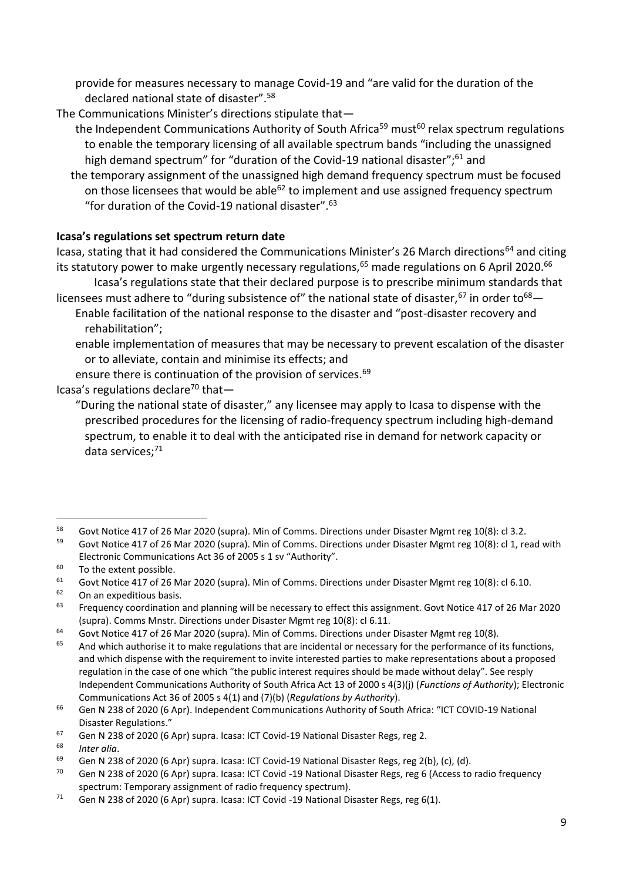provide for measures necessary to manage Covid-19 and "are valid for the duration of the declared national state of disaster".<sup>58</sup>

The Communications Minister's directions stipulate that—

- the Independent Communications Authority of South Africa<sup>59</sup> must<sup>60</sup> relax spectrum regulations to enable the temporary licensing of all available spectrum bands "including the unassigned high demand spectrum" for "duration of the Covid-19 national disaster";<sup>61</sup> and
- the temporary assignment of the unassigned high demand frequency spectrum must be focused on those licensees that would be able<sup>62</sup> to implement and use assigned frequency spectrum "for duration of the Covid-19 national disaster".<sup>63</sup>

# **Icasa's regulations set spectrum return date**

Icasa, stating that it had considered the Communications Minister's 26 March directions<sup>64</sup> and citing its statutory power to make urgently necessary regulations,<sup>65</sup> made regulations on 6 April 2020.<sup>66</sup>

Icasa's regulations state that their declared purpose is to prescribe minimum standards that licensees must adhere to "during subsistence of" the national state of disaster,  $67$  in order to  $68-$ Enable facilitation of the national response to the disaster and "post-disaster recovery and rehabilitation";

enable implementation of measures that may be necessary to prevent escalation of the disaster or to alleviate, contain and minimise its effects; and

ensure there is continuation of the provision of services.<sup>69</sup>

Icasa's regulations declare<sup>70</sup> that-

"During the national state of disaster," any licensee may apply to Icasa to dispense with the prescribed procedures for the licensing of radio-frequency spectrum including high-demand spectrum, to enable it to deal with the anticipated rise in demand for network capacity or data services: $71$ 

On an expeditious basis.

<sup>58</sup> Govt Notice 417 of 26 Mar 2020 (supra). Min of Comms. Directions under Disaster Mgmt reg 10(8): cl 3.2.<br>59 Cout Nation 417 of 26 Mar 2020 (supra). Min of Commo Directions under Disaster Marst reg 10(8): cl 4, as

Govt Notice 417 of 26 Mar 2020 (supra). Min of Comms. Directions under Disaster Mgmt reg 10(8): cl 1, read with Electronic Communications Act 36 of 2005 s 1 sv "Authority".

<sup>&</sup>lt;sup>60</sup> To the extent possible.

 $61$  Govt Notice 417 of 26 Mar 2020 (supra). Min of Comms. Directions under Disaster Mgmt reg 10(8): cl 6.10.

<sup>&</sup>lt;sup>63</sup> Frequency coordination and planning will be necessary to effect this assignment. Govt Notice 417 of 26 Mar 2020 (supra). Comms Mnstr. Directions under Disaster Mgmt reg 10(8): cl 6.11.

 $^{64}$  Govt Notice 417 of 26 Mar 2020 (supra). Min of Comms. Directions under Disaster Mgmt reg 10(8).

And which authorise it to make regulations that are incidental or necessary for the performance of its functions, and which dispense with the requirement to invite interested parties to make representations about a proposed regulation in the case of one which "the public interest requires should be made without delay". See resply Independent Communications Authority of South Africa Act 13 of 2000 s 4(3)(j) (*Functions of Authority*); Electronic Communications Act 36 of 2005 s 4(1) and (7)(b) (*Regulations by Authority*).

<sup>66</sup> Gen N 238 of 2020 (6 Apr). Independent Communications Authority of South Africa: "ICT COVID-19 National Disaster Regulations."

<sup>&</sup>lt;sup>67</sup> Gen N 238 of 2020 (6 Apr) supra. Icasa: ICT Covid-19 National Disaster Regs, reg 2.

<sup>68</sup> *Inter alia*.

<sup>69</sup> Gen N 238 of 2020 (6 Apr) supra. Icasa: ICT Covid-19 National Disaster Regs, reg 2(b), (c), (d).<br> $\frac{70}{20}$  Gen N 228 of 2020 (6 Apr) supra Jesse: ICT Covid-10 National Disaster Bogs, reg 6 (Access to

Gen N 238 of 2020 (6 Apr) supra. Icasa: ICT Covid -19 National Disaster Regs, reg 6 (Access to radio frequency spectrum: Temporary assignment of radio frequency spectrum).

<sup>&</sup>lt;sup>71</sup> Gen N 238 of 2020 (6 Apr) supra. Icasa: ICT Covid -19 National Disaster Regs, reg 6(1).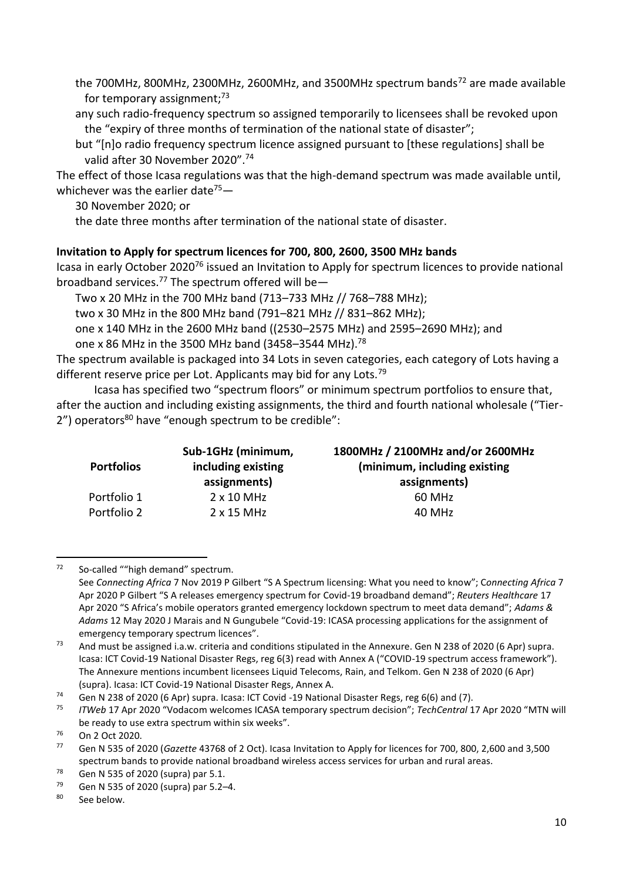the 700MHz, 800MHz, 2300MHz, 2600MHz, and 3500MHz spectrum bands<sup>72</sup> are made available for temporary assignment; $73$ 

any such radio-frequency spectrum so assigned temporarily to licensees shall be revoked upon the "expiry of three months of termination of the national state of disaster";

but "[n]o radio frequency spectrum licence assigned pursuant to [these regulations] shall be valid after 30 November 2020".<sup>74</sup>

The effect of those Icasa regulations was that the high-demand spectrum was made available until, whichever was the earlier date<sup>75</sup> $-$ 

30 November 2020; or

the date three months after termination of the national state of disaster.

# **Invitation to Apply for spectrum licences for 700, 800, 2600, 3500 MHz bands**

Icasa in early October 2020<sup>76</sup> issued an Invitation to Apply for spectrum licences to provide national broadband services.<sup>77</sup> The spectrum offered will be-

Two x 20 MHz in the 700 MHz band (713–733 MHz // 768–788 MHz);

two x 30 MHz in the 800 MHz band (791–821 MHz // 831–862 MHz);

one x 140 MHz in the 2600 MHz band ((2530–2575 MHz) and 2595–2690 MHz); and one x 86 MHz in the 3500 MHz band (3458–3544 MHz).<sup>78</sup>

The spectrum available is packaged into 34 Lots in seven categories, each category of Lots having a different reserve price per Lot. Applicants may bid for any Lots.<sup>79</sup>

Icasa has specified two "spectrum floors" or minimum spectrum portfolios to ensure that, after the auction and including existing assignments, the third and fourth national wholesale ("Tier- $2"$ ) operators<sup>80</sup> have "enough spectrum to be credible":

| <b>Portfolios</b> | Sub-1GHz (minimum,<br>including existing<br>assignments) | 1800MHz / 2100MHz and/or 2600MHz<br>(minimum, including existing)<br>assignments) |
|-------------------|----------------------------------------------------------|-----------------------------------------------------------------------------------|
| Portfolio 1       | $2 \times 10$ MHz                                        | 60 MHz                                                                            |
| Portfolio 2       | $2 \times 15$ MHz                                        | 40 MHz                                                                            |

 $72$  So-called ""high demand" spectrum.

See *Connecting Africa* 7 Nov 2019 P Gilbert "S A Spectrum licensing: What you need to know"; C*onnecting Africa* 7 Apr 2020 P Gilbert "S A releases emergency spectrum for Covid-19 broadband demand"; *Reuters Healthcare* 17 Apr 2020 "S Africa's mobile operators granted emergency lockdown spectrum to meet data demand"; *Adams & Adams* 12 May 2020 J Marais and N Gungubele "Covid-19: ICASA processing applications for the assignment of emergency temporary spectrum licences".

<sup>&</sup>lt;sup>73</sup> And must be assigned i.a.w. criteria and conditions stipulated in the Annexure. Gen N 238 of 2020 (6 Apr) supra. Icasa: ICT Covid-19 National Disaster Regs, reg 6(3) read with Annex A ("COVID-19 spectrum access framework"). The Annexure mentions incumbent licensees Liquid Telecoms, Rain, and Telkom. Gen N 238 of 2020 (6 Apr) (supra). Icasa: ICT Covid-19 National Disaster Regs, Annex A.

<sup>&</sup>lt;sup>74</sup> Gen N 238 of 2020 (6 Apr) supra. Icasa: ICT Covid -19 National Disaster Regs, reg 6(6) and (7).<br><sup>75</sup> ITMah 17 Apr 2020 "Vedasem velsomes ICASA temperature pectrum decision": TechCentral 1

<sup>75</sup> *ITWeb* 17 Apr 2020 "Vodacom welcomes ICASA temporary spectrum decision"; *TechCentral* 17 Apr 2020 "MTN will be ready to use extra spectrum within six weeks".

<sup>76</sup> On 2 Oct 2020.

<sup>77</sup> Gen N 535 of 2020 (*Gazette* 43768 of 2 Oct). Icasa Invitation to Apply for licences for 700, 800, 2,600 and 3,500 spectrum bands to provide national broadband wireless access services for urban and rural areas.

<sup>&</sup>lt;sup>78</sup> Gen N 535 of 2020 (supra) par 5.1.<br><sup>79</sup> Gen N 535 of 2020 (supra) par 5.2

Gen N 535 of 2020 (supra) par 5.2–4.

<sup>80</sup> See below.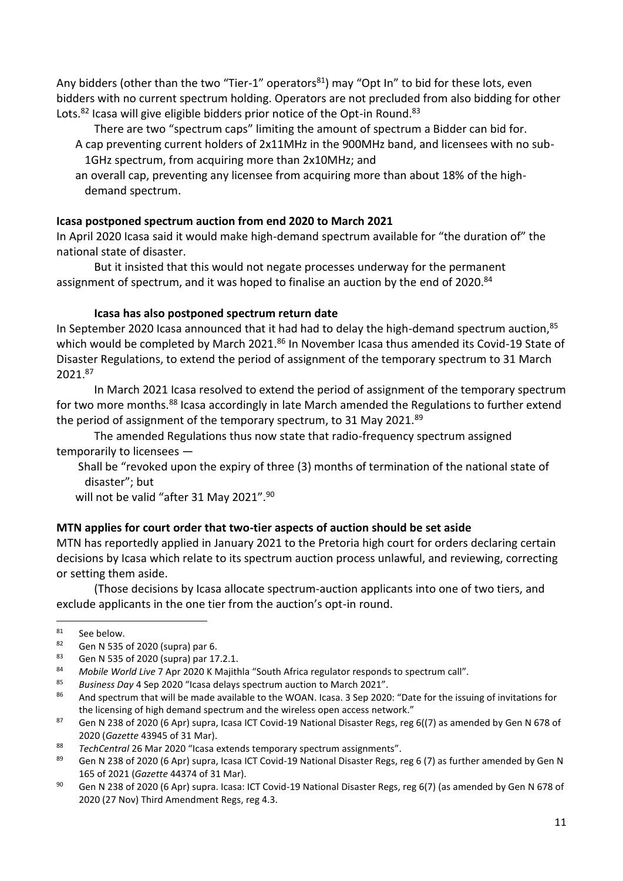Any bidders (other than the two "Tier-1" operators<sup>81</sup>) may "Opt In" to bid for these lots, even bidders with no current spectrum holding. Operators are not precluded from also bidding for other Lots. $^{82}$  Icasa will give eligible bidders prior notice of the Opt-in Round. $^{83}$ 

There are two "spectrum caps" limiting the amount of spectrum a Bidder can bid for. A cap preventing current holders of 2x11MHz in the 900MHz band, and licensees with no sub-1GHz spectrum, from acquiring more than 2x10MHz; and

an overall cap, preventing any licensee from acquiring more than about 18% of the highdemand spectrum.

## **Icasa postponed spectrum auction from end 2020 to March 2021**

In April 2020 Icasa said it would make high-demand spectrum available for "the duration of" the national state of disaster.

But it insisted that this would not negate processes underway for the permanent assignment of spectrum, and it was hoped to finalise an auction by the end of 2020.<sup>84</sup>

## **Icasa has also postponed spectrum return date**

In September 2020 Icasa announced that it had had to delay the high-demand spectrum auction,  $85$ which would be completed by March 2021.<sup>86</sup> In November Icasa thus amended its Covid-19 State of Disaster Regulations, to extend the period of assignment of the temporary spectrum to 31 March 2021.<sup>87</sup>

In March 2021 Icasa resolved to extend the period of assignment of the temporary spectrum for two more months.<sup>88</sup> Icasa accordingly in late March amended the Regulations to further extend the period of assignment of the temporary spectrum, to 31 May 2021.89

The amended Regulations thus now state that radio-frequency spectrum assigned temporarily to licensees —

Shall be "revoked upon the expiry of three (3) months of termination of the national state of disaster"; but

will not be valid "after 31 May 2021".<sup>90</sup>

# **MTN applies for court order that two-tier aspects of auction should be set aside**

MTN has reportedly applied in January 2021 to the Pretoria high court for orders declaring certain decisions by Icasa which relate to its spectrum auction process unlawful, and reviewing, correcting or setting them aside.

(Those decisions by Icasa allocate spectrum-auction applicants into one of two tiers, and exclude applicants in the one tier from the auction's opt-in round.

<sup>85</sup> *Business Day* 4 Sep 2020 "Icasa delays spectrum auction to March 2021".

87 Gen N 238 of 2020 (6 Apr) supra, Icasa ICT Covid-19 National Disaster Regs, reg 6((7) as amended by Gen N 678 of 2020 (*Gazette* 43945 of 31 Mar).

 $\frac{81}{82}$  See below.

<sup>&</sup>lt;sup>82</sup> Gen N 535 of 2020 (supra) par 6.<br><sup>83</sup> Gen N 525 of 2020 (supra) par 17

<sup>83</sup> Gen N 535 of 2020 (supra) par 17.2.1.<br>84 Mobile World Live 7 Apr 2020 K Maiith

<sup>84</sup> Mobile World Live 7 Apr 2020 K Majithla "South Africa regulator responds to spectrum call".<br>85 Puciness Day 4 Son 2020 "Jease delays spectrum austion to March 2021"

<sup>86</sup> And spectrum that will be made available to the WOAN. Icasa. 3 Sep 2020: "Date for the issuing of invitations for the licensing of high demand spectrum and the wireless open access network."

<sup>88</sup> *TechCentral* 26 Mar 2020 "Icasa extends temporary spectrum assignments".

<sup>&</sup>lt;sup>89</sup> Gen N 238 of 2020 (6 Apr) supra, Icasa ICT Covid-19 National Disaster Regs, reg 6 (7) as further amended by Gen N 165 of 2021 (*Gazette* 44374 of 31 Mar).

<sup>90</sup> Gen N 238 of 2020 (6 Apr) supra. Icasa: ICT Covid-19 National Disaster Regs, reg 6(7) (as amended by Gen N 678 of 2020 (27 Nov) Third Amendment Regs, reg 4.3.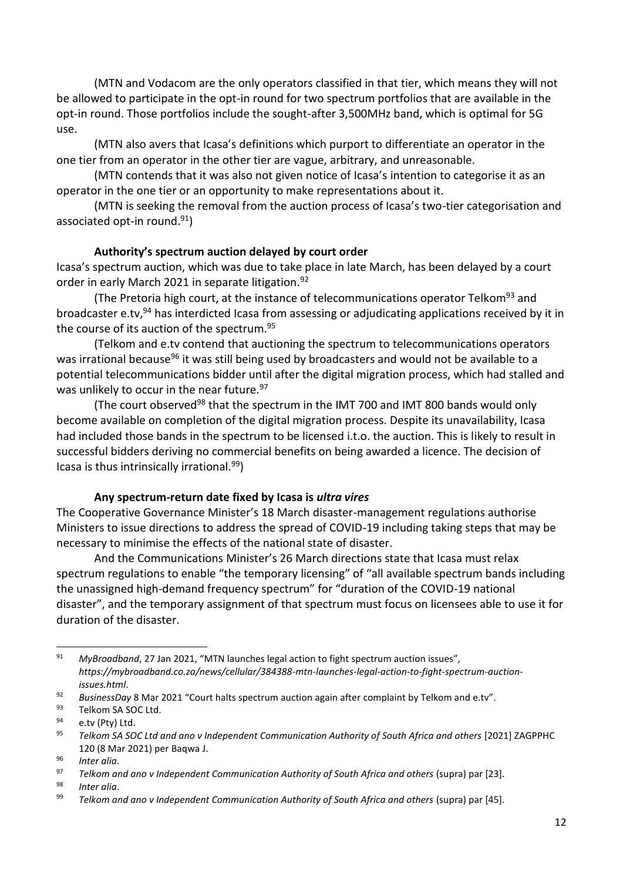(MTN and Vodacom are the only operators classified in that tier, which means they will not be allowed to participate in the opt-in round for two spectrum portfolios that are available in the opt-in round. Those portfolios include the sought-after 3,500MHz band, which is optimal for 5G use.

(MTN also avers that Icasa's definitions which purport to differentiate an operator in the one tier from an operator in the other tier are vague, arbitrary, and unreasonable.

(MTN contends that it was also not given notice of Icasa's intention to categorise it as an operator in the one tier or an opportunity to make representations about it.

(MTN is seeking the removal from the auction process of Icasa's two-tier categorisation and associated opt-in round.<sup>91</sup>)

#### **Authority's spectrum auction delayed by court order**

Icasa's spectrum auction, which was due to take place in late March, has been delayed by a court order in early March 2021 in separate litigation.<sup>92</sup>

(The Pretoria high court, at the instance of telecommunications operator Telkom<sup>93</sup> and broadcaster e.tv,<sup>94</sup> has interdicted Icasa from assessing or adjudicating applications received by it in the course of its auction of the spectrum.<sup>95</sup>

(Telkom and e.tv contend that auctioning the spectrum to telecommunications operators was irrational because<sup>96</sup> it was still being used by broadcasters and would not be available to a potential telecommunications bidder until after the digital migration process, which had stalled and was unlikely to occur in the near future.<sup>97</sup>

(The court observed<sup>98</sup> that the spectrum in the IMT 700 and IMT 800 bands would only become available on completion of the digital migration process. Despite its unavailability, Icasa had included those bands in the spectrum to be licensed i.t.o. the auction. This is likely to result in successful bidders deriving no commercial benefits on being awarded a licence. The decision of Icasa is thus intrinsically irrational. $99$ )

#### **Any spectrum-return date fixed by Icasa is** *ultra vires*

The Cooperative Governance Minister's 18 March disaster-management regulations authorise Ministers to issue directions to address the spread of COVID-19 including taking steps that may be necessary to minimise the effects of the national state of disaster.

And the Communications Minister's 26 March directions state that Icasa must relax spectrum regulations to enable "the temporary licensing" of "all available spectrum bands including the unassigned high-demand frequency spectrum" for "duration of the COVID-19 national disaster", and the temporary assignment of that spectrum must focus on licensees able to use it for duration of the disaster.

Telkom SA SOC Ltd.

<sup>91</sup> *MyBroadband*, 27 Jan 2021, "MTN launches legal action to fight spectrum auction issues", *https://mybroadband.co.za/news/cellular/384388-mtn-launches-legal-action-to-fight-spectrum-auctionissues.html*.

<sup>92</sup> *BusinessDay* 8 Mar 2021 "Court halts spectrum auction again after complaint by Telkom and e.tv".

 $^{94}$  e.tv (Pty) Ltd.<br> $^{95}$  Telkom SA SO

<sup>95</sup> *Telkom SA SOC Ltd and ano v Independent Communication Authority of South Africa and others* [2021] ZAGPPHC 120 (8 Mar 2021) per Baqwa J.

<sup>96</sup> *Inter alia*.

<sup>97</sup> *Telkom and ano v Independent Communication Authority of South Africa and others* (supra) par [23].

<sup>98</sup> *Inter alia*.

<sup>99</sup> *Telkom and ano v Independent Communication Authority of South Africa and others* (supra) par [45].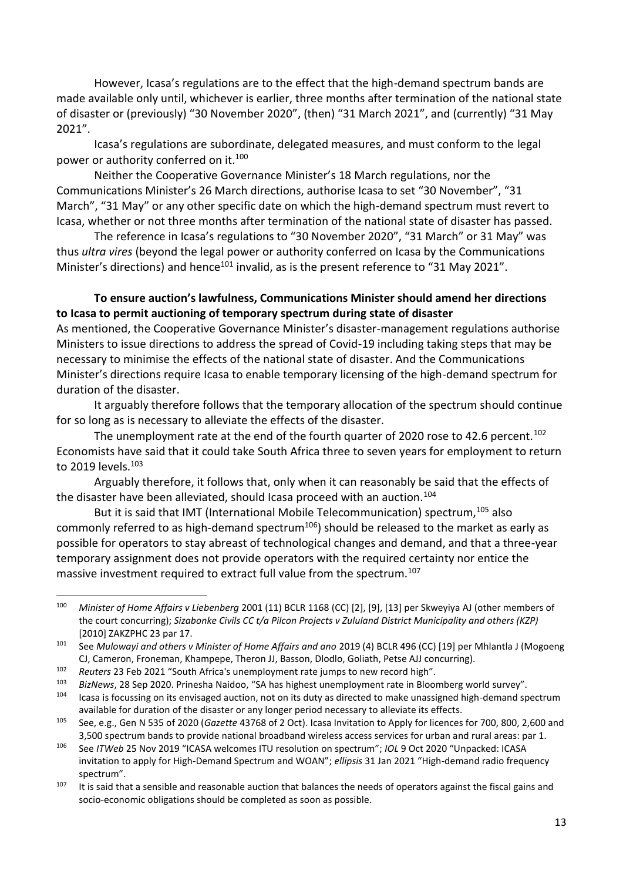However, Icasa's regulations are to the effect that the high-demand spectrum bands are made available only until, whichever is earlier, three months after termination of the national state of disaster or (previously) "30 November 2020", (then) "31 March 2021", and (currently) "31 May 2021".

Icasa's regulations are subordinate, delegated measures, and must conform to the legal power or authority conferred on it.<sup>100</sup>

Neither the Cooperative Governance Minister's 18 March regulations, nor the Communications Minister's 26 March directions, authorise Icasa to set "30 November", "31 March", "31 May" or any other specific date on which the high-demand spectrum must revert to Icasa, whether or not three months after termination of the national state of disaster has passed.

The reference in Icasa's regulations to "30 November 2020", "31 March" or 31 May" was thus *ultra vires* (beyond the legal power or authority conferred on Icasa by the Communications Minister's directions) and hence<sup>101</sup> invalid, as is the present reference to "31 May 2021".

### **To ensure auction's lawfulness, Communications Minister should amend her directions to Icasa to permit auctioning of temporary spectrum during state of disaster**

As mentioned, the Cooperative Governance Minister's disaster-management regulations authorise Ministers to issue directions to address the spread of Covid-19 including taking steps that may be necessary to minimise the effects of the national state of disaster. And the Communications Minister's directions require Icasa to enable temporary licensing of the high-demand spectrum for duration of the disaster.

It arguably therefore follows that the temporary allocation of the spectrum should continue for so long as is necessary to alleviate the effects of the disaster.

The unemployment rate at the end of the fourth quarter of 2020 rose to 42.6 percent.<sup>102</sup> Economists have said that it could take South Africa three to seven years for employment to return to 2019 levels.<sup>103</sup>

Arguably therefore, it follows that, only when it can reasonably be said that the effects of the disaster have been alleviated, should Icasa proceed with an auction.<sup>104</sup>

But it is said that IMT (International Mobile Telecommunication) spectrum.<sup>105</sup> also commonly referred to as high-demand spectrum<sup>106</sup>) should be released to the market as early as possible for operators to stay abreast of technological changes and demand, and that a three-year temporary assignment does not provide operators with the required certainty nor entice the massive investment required to extract full value from the spectrum.<sup>107</sup>

<sup>102</sup> *Reuters* 23 Feb 2021 "South Africa's unemployment rate jumps to new record high".

<sup>100</sup> *Minister of Home Affairs v Liebenberg* 2001 (11) BCLR 1168 (CC) [2], [9], [13] per Skweyiya AJ (other members of the court concurring); *Sizabonke Civils CC t/a Pilcon Projects v Zululand District Municipality and others (KZP)* [2010] ZAKZPHC 23 par 17.

<sup>101</sup> See *Mulowayi and others v Minister of Home Affairs and ano* 2019 (4) BCLR 496 (CC) [19] per Mhlantla J (Mogoeng CJ, Cameron, Froneman, Khampepe, Theron JJ, Basson, Dlodlo, Goliath, Petse AJJ concurring).

<sup>103</sup> *BizNews*, 28 Sep 2020. Prinesha Naidoo, "SA has highest unemployment rate in Bloomberg world survey".

Icasa is focussing on its envisaged auction, not on its duty as directed to make unassigned high-demand spectrum available for duration of the disaster or any longer period necessary to alleviate its effects.

<sup>105</sup> See, e.g., Gen N 535 of 2020 (*Gazette* 43768 of 2 Oct). Icasa Invitation to Apply for licences for 700, 800, 2,600 and 3,500 spectrum bands to provide national broadband wireless access services for urban and rural areas: par 1.

<sup>106</sup> See *ITWeb* 25 Nov 2019 "ICASA welcomes ITU resolution on spectrum"; *IOL* 9 Oct 2020 "Unpacked: ICASA invitation to apply for High-Demand Spectrum and WOAN"; *ellipsis* 31 Jan 2021 "High-demand radio frequency spectrum".

 $107$  It is said that a sensible and reasonable auction that balances the needs of operators against the fiscal gains and socio-economic obligations should be completed as soon as possible.